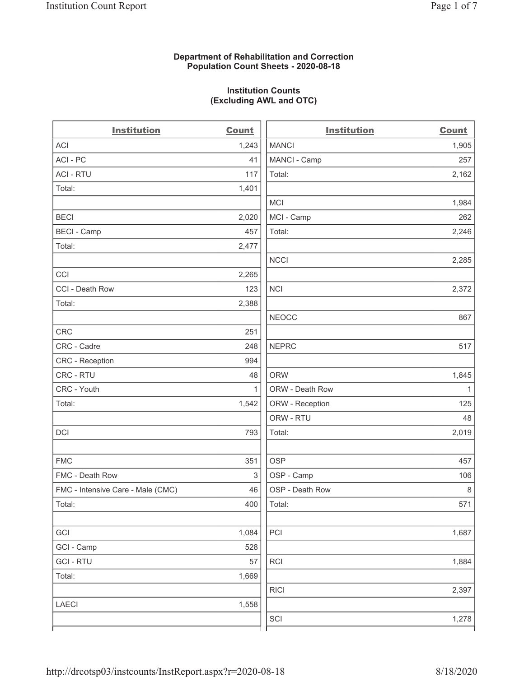### Department of Rehabilitation and Correction Population Count Sheets - 2020-08-18

### Institution Counts (Excluding AWL and OTC)

. .

| <b>Institution</b>                | <b>Count</b> | <b>Institution</b> | <b>Count</b> |
|-----------------------------------|--------------|--------------------|--------------|
| <b>ACI</b>                        | 1,243        | <b>MANCI</b>       | 1,905        |
| ACI-PC                            | 41           | MANCI - Camp       | 257          |
| <b>ACI - RTU</b>                  | 117          | Total:             | 2,162        |
| Total:                            | 1,401        |                    |              |
|                                   |              | MCI                | 1,984        |
| <b>BECI</b>                       | 2,020        | MCI - Camp         | 262          |
| <b>BECI - Camp</b>                | 457          | Total:             | 2,246        |
| Total:                            | 2,477        |                    |              |
|                                   |              | <b>NCCI</b>        | 2,285        |
| CCI                               | 2,265        |                    |              |
| CCI - Death Row                   | 123          | <b>NCI</b>         | 2,372        |
| Total:                            | 2,388        |                    |              |
|                                   |              | <b>NEOCC</b>       | 867          |
| <b>CRC</b>                        | 251          |                    |              |
| CRC - Cadre                       | 248          | <b>NEPRC</b>       | 517          |
| CRC - Reception                   | 994          |                    |              |
| CRC - RTU                         | 48           | <b>ORW</b>         | 1,845        |
| CRC - Youth                       | 1            | ORW - Death Row    | $\mathbf{1}$ |
| Total:                            | 1,542        | ORW - Reception    | 125          |
|                                   |              | ORW - RTU          | 48           |
| DCI                               | 793          | Total:             | 2,019        |
| <b>FMC</b>                        | 351          | <b>OSP</b>         | 457          |
| FMC - Death Row                   | 3            | OSP - Camp         | 106          |
| FMC - Intensive Care - Male (CMC) | 46           | OSP - Death Row    | $\,8\,$      |
| Total:                            | 400          | Total:             | 571          |
| GCI                               | 1,084        | PCI                | 1,687        |
| GCI - Camp                        | 528          |                    |              |
| <b>GCI-RTU</b>                    | 57           | $\sf RCI$          | 1,884        |
| Total:                            | 1,669        |                    |              |
|                                   |              | <b>RICI</b>        | 2,397        |
| LAECI                             | 1,558        |                    |              |
|                                   |              | SCI                | 1,278        |
|                                   |              |                    |              |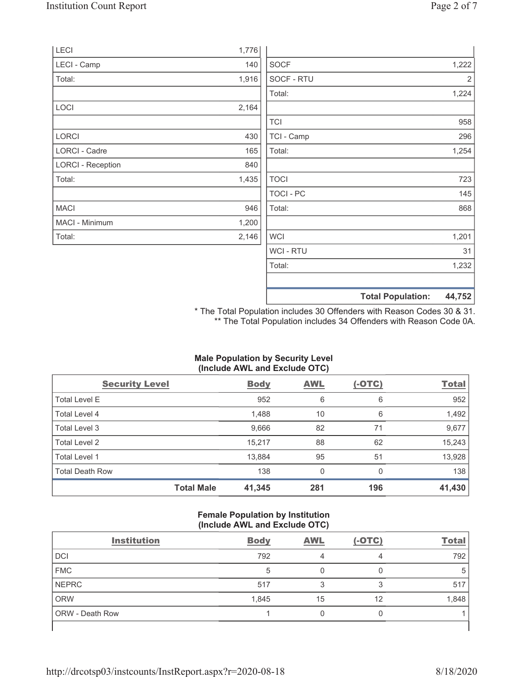|                          |       |             | <b>Total Population:</b> | 44,752 |
|--------------------------|-------|-------------|--------------------------|--------|
|                          |       |             |                          |        |
|                          |       | Total:      |                          | 1,232  |
|                          |       | WCI - RTU   |                          | 31     |
| Total:                   | 2,146 | <b>WCI</b>  |                          | 1,201  |
| MACI - Minimum           | 1,200 |             |                          |        |
| <b>MACI</b>              | 946   | Total:      |                          | 868    |
|                          |       | TOCI - PC   |                          | 145    |
| Total:                   | 1,435 | <b>TOCI</b> |                          | 723    |
| <b>LORCI - Reception</b> | 840   |             |                          |        |
| LORCI - Cadre            | 165   | Total:      |                          | 1,254  |
| <b>LORCI</b>             | 430   | TCI - Camp  |                          | 296    |
|                          |       | <b>TCI</b>  |                          | 958    |
| LOCI                     | 2,164 |             |                          |        |
|                          |       | Total:      |                          | 1,224  |
| Total:                   | 1,916 | SOCF - RTU  |                          | 2      |
| LECI - Camp              | 140   | <b>SOCF</b> |                          | 1,222  |
| LECI                     | 1,776 |             |                          |        |

\* The Total Population includes 30 Offenders with Reason Codes 30 & 31. \*\* The Total Population includes 34 Offenders with Reason Code 0A.

# Male Population by Security Level (Include AWL and Exclude OTC)

| <b>Security Level</b>  |                   | <b>Body</b> | <b>AWL</b>   | $(-OTC)$ | <b>Total</b> |
|------------------------|-------------------|-------------|--------------|----------|--------------|
| <b>Total Level E</b>   |                   | 952         | 6            | 6        | 952          |
| Total Level 4          |                   | 1,488       | 10           | 6        | 1,492        |
| Total Level 3          |                   | 9,666       | 82           | 71       | 9,677        |
| Total Level 2          |                   | 15,217      | 88           | 62       | 15,243       |
| Total Level 1          |                   | 13,884      | 95           | 51       | 13,928       |
| <b>Total Death Row</b> |                   | 138         | $\mathbf{0}$ | $\Omega$ | 138          |
|                        | <b>Total Male</b> | 41,345      | 281          | 196      | 41,430       |

#### Female Population by Institution (Include AWL and Exclude OTC)

| <b>Institution</b>     | <b>Body</b> | <b>AWL</b> | $(-OTC)$ | <b>Total</b> |
|------------------------|-------------|------------|----------|--------------|
| DCI                    | 792         |            |          | 792          |
| <b>FMC</b>             | 5           |            |          |              |
| <b>NEPRC</b>           | 517         |            |          | 517          |
| <b>ORW</b>             | 1,845       | 15         | 12       | 1,848        |
| <b>ORW</b> - Death Row |             |            |          |              |
|                        |             |            |          |              |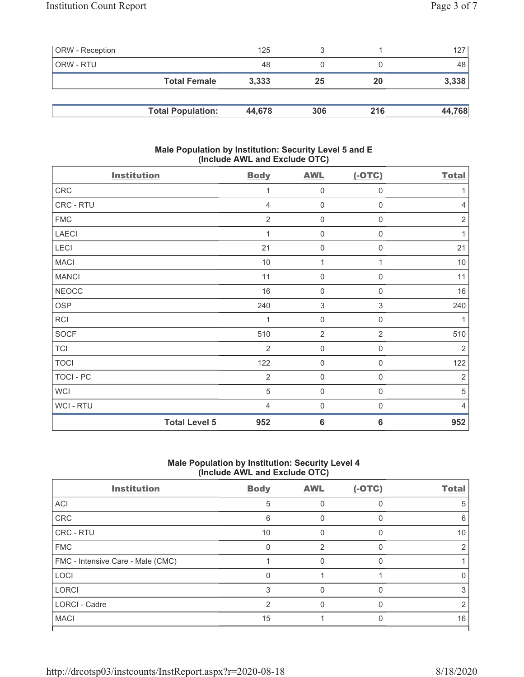| <b>ORW</b> - Reception |                          | 125    |     |     | 127    |
|------------------------|--------------------------|--------|-----|-----|--------|
| ORW - RTU              |                          | 48     |     |     | 48     |
|                        | <b>Total Female</b>      | 3,333  | 25  | 20  | 3,338  |
|                        |                          |        |     |     |        |
|                        | <b>Total Population:</b> | 44,678 | 306 | 216 | 44,768 |

#### Male Population by Institution: Security Level 5 and E (Include AWL and Exclude OTC)

| <b>Institution</b> |                      | <b>Body</b>    | <b>AWL</b>          | $(-OTC)$            | <b>Total</b>   |
|--------------------|----------------------|----------------|---------------------|---------------------|----------------|
| CRC                |                      | 1              | $\mathbf 0$         | $\boldsymbol{0}$    | 1              |
| CRC - RTU          |                      | $\overline{4}$ | $\mathbf 0$         | $\boldsymbol{0}$    | $\overline{4}$ |
| <b>FMC</b>         |                      | $\overline{2}$ | $\mathbf 0$         | $\boldsymbol{0}$    | $\sqrt{2}$     |
| <b>LAECI</b>       |                      |                | $\mathsf{O}\xspace$ | 0                   | 1              |
| <b>LECI</b>        |                      | 21             | $\mathbf 0$         | $\boldsymbol{0}$    | 21             |
| <b>MACI</b>        |                      | 10             | 1                   | 1                   | 10             |
| <b>MANCI</b>       |                      | 11             | $\mathbf 0$         | $\boldsymbol{0}$    | 11             |
| <b>NEOCC</b>       |                      | 16             | $\mathbf 0$         | $\boldsymbol{0}$    | 16             |
| <b>OSP</b>         |                      | 240            | $\sqrt{3}$          | $\sqrt{3}$          | 240            |
| RCI                |                      | 1              | $\mathbf 0$         | $\boldsymbol{0}$    | 1              |
| SOCF               |                      | 510            | $\overline{2}$      | $\overline{2}$      | 510            |
| <b>TCI</b>         |                      | 2              | $\mathbf 0$         | $\mathsf{O}\xspace$ | $\sqrt{2}$     |
| <b>TOCI</b>        |                      | 122            | $\mathbf 0$         | $\boldsymbol{0}$    | 122            |
| TOCI - PC          |                      | $\overline{2}$ | $\mathbf 0$         | $\overline{0}$      | $\overline{2}$ |
| <b>WCI</b>         |                      | 5              | $\mathsf{O}\xspace$ | $\mathbf 0$         | 5              |
| WCI - RTU          |                      | $\overline{4}$ | $\mathbf 0$         | $\boldsymbol{0}$    | $\overline{4}$ |
|                    | <b>Total Level 5</b> | 952            | $6\phantom{1}6$     | $6\phantom{1}6$     | 952            |

## Male Population by Institution: Security Level 4 (Include AWL and Exclude OTC)

| <b>Institution</b>                | <b>Body</b> | <b>AWL</b> | $(-OTC)$ | <b>Total</b> |
|-----------------------------------|-------------|------------|----------|--------------|
| <b>ACI</b>                        | 5           |            |          | 5            |
| CRC                               | 6           |            |          | 6            |
| <b>CRC - RTU</b>                  | 10          |            |          | 10           |
| <b>FMC</b>                        |             | 2          |          |              |
| FMC - Intensive Care - Male (CMC) |             |            | U        |              |
| <b>LOCI</b>                       |             |            |          |              |
| <b>LORCI</b>                      | 3           |            | O        | 3            |
| <b>LORCI - Cadre</b>              | 2           |            |          |              |
| <b>MACI</b>                       | 15          |            |          | 16           |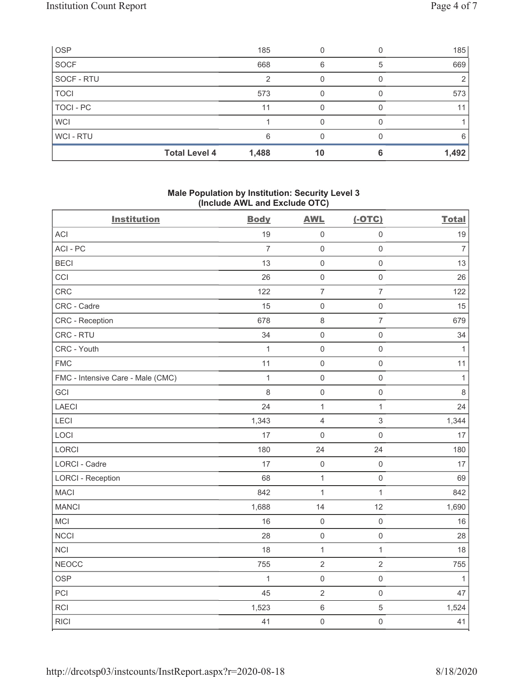| <b>OSP</b>  |                      | 185   |    |   | 185   |
|-------------|----------------------|-------|----|---|-------|
| <b>SOCF</b> |                      | 668   | 6  | 5 | 669   |
| SOCF - RTU  |                      |       |    |   |       |
| <b>TOCI</b> |                      | 573   |    |   | 573   |
| TOCI - PC   |                      | 11    |    |   | 11    |
| <b>WCI</b>  |                      |       |    |   |       |
| WCI - RTU   |                      | 6     |    |   | 6     |
|             | <b>Total Level 4</b> | 1,488 | 10 |   | 1,492 |

## Male Population by Institution: Security Level 3 (Include AWL and Exclude OTC)

| ,<br><b>Institution</b>           | <b>Body</b>    | ,<br><b>AWL</b> | $(-OTC)$                  | <b>Total</b>   |
|-----------------------------------|----------------|-----------------|---------------------------|----------------|
| <b>ACI</b>                        | 19             | $\mathbf 0$     | $\mathsf 0$               | 19             |
| ACI-PC                            | $\overline{7}$ | $\mathbf 0$     | $\mathsf{O}\xspace$       | $\overline{7}$ |
| <b>BECI</b>                       | 13             | $\mathbf 0$     | $\mathsf{O}\xspace$       | 13             |
| CCI                               | 26             | $\mathbf 0$     | $\mathsf{O}\xspace$       | 26             |
| CRC                               | 122            | $\overline{7}$  | $\overline{7}$            | 122            |
| CRC - Cadre                       | 15             | $\mathbf 0$     | $\mathsf 0$               | 15             |
| CRC - Reception                   | 678            | $\,8\,$         | $\overline{7}$            | 679            |
| CRC - RTU                         | 34             | $\mathbf 0$     | $\mathsf{O}\xspace$       | 34             |
| CRC - Youth                       | $\mathbf{1}$   | $\mathbf 0$     | $\mathsf{O}\xspace$       | $\mathbf{1}$   |
| <b>FMC</b>                        | 11             | $\mathbf 0$     | $\mathsf{O}\xspace$       | 11             |
| FMC - Intensive Care - Male (CMC) | $\mathbf{1}$   | $\mathbf 0$     | $\mathsf{O}\xspace$       | $\mathbf{1}$   |
| GCI                               | 8              | $\mathbf 0$     | $\mathsf{O}\xspace$       | $\,8\,$        |
| LAECI                             | 24             | $\mathbf{1}$    | $\mathbf{1}$              | 24             |
| LECI                              | 1,343          | $\sqrt{4}$      | $\ensuremath{\mathsf{3}}$ | 1,344          |
| LOCI                              | 17             | $\mathbf 0$     | $\mathsf{O}\xspace$       | 17             |
| LORCI                             | 180            | 24              | 24                        | 180            |
| LORCI - Cadre                     | 17             | $\mathbf 0$     | $\mathsf{O}\xspace$       | 17             |
| <b>LORCI - Reception</b>          | 68             | $\mathbf 1$     | $\mathsf{O}\xspace$       | 69             |
| <b>MACI</b>                       | 842            | $\mathbf{1}$    | $\mathbf 1$               | 842            |
| <b>MANCI</b>                      | 1,688          | 14              | 12                        | 1,690          |
| MCI                               | 16             | $\mathbf 0$     | $\mathsf{O}\xspace$       | 16             |
| <b>NCCI</b>                       | 28             | $\mathbf 0$     | $\mathsf{O}\xspace$       | 28             |
| NCI                               | 18             | 1               | $\mathbf{1}$              | 18             |
| <b>NEOCC</b>                      | 755            | $\sqrt{2}$      | $\sqrt{2}$                | 755            |
| OSP                               | $\mathbf{1}$   | $\mathbf 0$     | $\mathsf{O}\xspace$       | 1              |
| PCI                               | 45             | $\overline{2}$  | $\mathsf 0$               | 47             |
| RCI                               | 1,523          | $\,6\,$         | $\sqrt{5}$                | 1,524          |
| <b>RICI</b>                       | 41             | $\mathbf 0$     | $\mathsf{O}\xspace$       | 41             |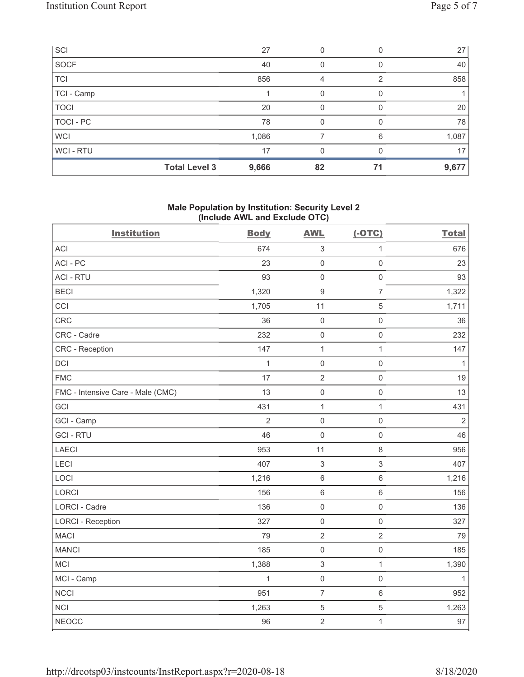| SCI         |                      | 27    |    |    | 27    |
|-------------|----------------------|-------|----|----|-------|
| SOCF        |                      | 40    |    |    | 40    |
| <b>TCI</b>  |                      | 856   | 4  | 2  | 858   |
| TCI - Camp  |                      |       |    |    |       |
| <b>TOCI</b> |                      | 20    | 0  |    | 20    |
| TOCI - PC   |                      | 78    | O  |    | 78    |
| <b>WCI</b>  |                      | 1,086 |    | 6  | 1,087 |
| WCI-RTU     |                      | 17    | U  |    | 17    |
|             | <b>Total Level 3</b> | 9,666 | 82 | 71 | 9,677 |

### Male Population by Institution: Security Level 2 (Include AWL and Exclude OTC)

| <b>Institution</b>                | <b>Body</b>    | <b>AWL</b>                | $(-OTC)$            | <b>Total</b>   |
|-----------------------------------|----------------|---------------------------|---------------------|----------------|
| <b>ACI</b>                        | 674            | $\sqrt{3}$                | $\mathbf{1}$        | 676            |
| ACI-PC                            | 23             | $\mathsf 0$               | $\mathbf 0$         | 23             |
| <b>ACI - RTU</b>                  | 93             | $\mathsf 0$               | $\mathsf{O}\xspace$ | 93             |
| <b>BECI</b>                       | 1,320          | $\boldsymbol{9}$          | $\overline{7}$      | 1,322          |
| CCI                               | 1,705          | 11                        | 5                   | 1,711          |
| CRC                               | 36             | $\mathsf 0$               | $\mathsf{O}\xspace$ | 36             |
| CRC - Cadre                       | 232            | $\mathsf 0$               | $\,0\,$             | 232            |
| CRC - Reception                   | 147            | $\mathbf{1}$              | $\mathbf{1}$        | 147            |
| DCI                               | $\mathbf{1}$   | $\mathsf{O}\xspace$       | $\mathsf{O}\xspace$ | $\mathbf{1}$   |
| <b>FMC</b>                        | 17             | $\sqrt{2}$                | $\,0\,$             | 19             |
| FMC - Intensive Care - Male (CMC) | 13             | $\mathsf 0$               | $\mathbf 0$         | 13             |
| GCI                               | 431            | $\mathbf{1}$              | $\mathbf{1}$        | 431            |
| GCI - Camp                        | $\overline{2}$ | $\mathsf{O}\xspace$       | $\mathsf{O}\xspace$ | $\overline{2}$ |
| <b>GCI-RTU</b>                    | 46             | $\mathbf 0$               | $\mathbf 0$         | 46             |
| LAECI                             | 953            | 11                        | 8                   | 956            |
| LECI                              | 407            | $\sqrt{3}$                | $\mathfrak{S}$      | 407            |
| LOCI                              | 1,216          | $\,6\,$                   | $\,6$               | 1,216          |
| LORCI                             | 156            | $\,6\,$                   | 6                   | 156            |
| LORCI - Cadre                     | 136            | $\mathsf 0$               | $\mathsf{O}\xspace$ | 136            |
| <b>LORCI - Reception</b>          | 327            | $\mathsf{O}\xspace$       | $\mathsf{O}\xspace$ | 327            |
| <b>MACI</b>                       | 79             | $\sqrt{2}$                | $\overline{2}$      | 79             |
| <b>MANCI</b>                      | 185            | $\mathsf{O}\xspace$       | $\mathsf{O}\xspace$ | 185            |
| MCI                               | 1,388          | $\ensuremath{\mathsf{3}}$ | $\mathbf{1}$        | 1,390          |
| MCI - Camp                        | $\mathbf{1}$   | $\mathsf{O}\xspace$       | $\mathsf{O}\xspace$ | $\mathbf{1}$   |
| <b>NCCI</b>                       | 951            | $\overline{7}$            | $6\,$               | 952            |
| <b>NCI</b>                        | 1,263          | $\sqrt{5}$                | $\mathbf 5$         | 1,263          |
| <b>NEOCC</b>                      | 96             | $\overline{2}$            | $\mathbf{1}$        | 97             |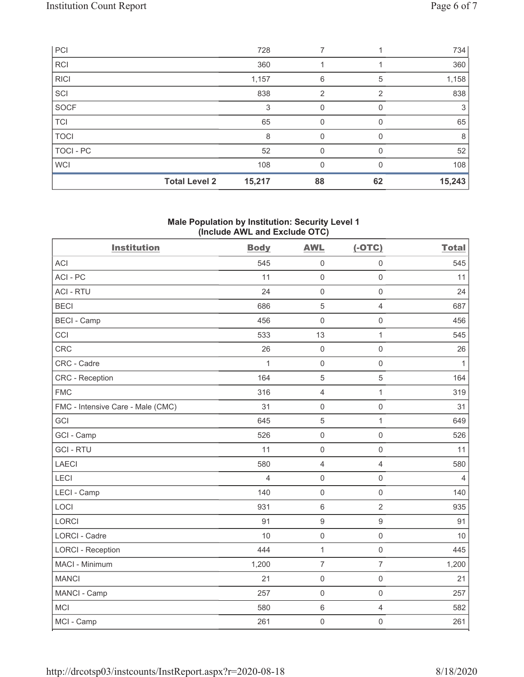|             | <b>Total Level 2</b> | 15,217 | 88             | 62 | 15,243 |
|-------------|----------------------|--------|----------------|----|--------|
| <b>WCI</b>  |                      | 108    | 0              | 0  | 108    |
| TOCI - PC   |                      | 52     | $\Omega$       |    | 52     |
| <b>TOCI</b> |                      | 8      | 0              |    | 8      |
| <b>TCI</b>  |                      | 65     | 0              | 0  | 65     |
| SOCF        |                      | 3      | 0              | 0  | 3      |
| SCI         |                      | 838    | $\overline{2}$ | 2  | 838    |
| RICI        |                      | 1,157  | 6              | 5  | 1,158  |
| <b>RCI</b>  |                      | 360    |                |    | 360    |
| PCI         |                      | 728    |                |    | 734    |

### Male Population by Institution: Security Level 1 (Include AWL and Exclude OTC)

| <b>Institution</b>                | <b>Body</b>    | <b>AWL</b>          | $(-OTC)$            | <b>Total</b>   |
|-----------------------------------|----------------|---------------------|---------------------|----------------|
| <b>ACI</b>                        | 545            | $\mathbf 0$         | $\mathsf 0$         | 545            |
| ACI-PC                            | 11             | $\mathbf 0$         | $\mathsf{O}\xspace$ | 11             |
| <b>ACI - RTU</b>                  | 24             | $\mathsf{O}\xspace$ | $\mathsf{O}\xspace$ | 24             |
| <b>BECI</b>                       | 686            | $\sqrt{5}$          | $\overline{4}$      | 687            |
| <b>BECI - Camp</b>                | 456            | $\mathbf 0$         | $\mathsf{O}\xspace$ | 456            |
| CCI                               | 533            | 13                  | $\mathbf{1}$        | 545            |
| CRC                               | 26             | $\mathsf{O}\xspace$ | $\mathsf 0$         | 26             |
| CRC - Cadre                       | 1              | $\mathsf{O}\xspace$ | $\mathsf 0$         | $\mathbf{1}$   |
| <b>CRC - Reception</b>            | 164            | 5                   | 5                   | 164            |
| <b>FMC</b>                        | 316            | $\overline{4}$      | $\mathbf{1}$        | 319            |
| FMC - Intensive Care - Male (CMC) | 31             | $\mathsf{O}\xspace$ | $\mathsf{O}\xspace$ | 31             |
| GCI                               | 645            | $\sqrt{5}$          | $\mathbf{1}$        | 649            |
| GCI - Camp                        | 526            | $\mathsf{O}\xspace$ | $\mathsf{O}\xspace$ | 526            |
| <b>GCI-RTU</b>                    | 11             | $\mathsf{O}\xspace$ | $\mathsf{O}\xspace$ | 11             |
| <b>LAECI</b>                      | 580            | $\sqrt{4}$          | $\overline{4}$      | 580            |
| LECI                              | $\overline{4}$ | $\mathsf 0$         | $\mathsf 0$         | $\overline{4}$ |
| LECI - Camp                       | 140            | $\mathsf{O}\xspace$ | $\mathbf 0$         | 140            |
| LOCI                              | 931            | $\,6\,$             | $\overline{2}$      | 935            |
| LORCI                             | 91             | $\boldsymbol{9}$    | $\boldsymbol{9}$    | 91             |
| <b>LORCI - Cadre</b>              | 10             | $\mathsf{O}\xspace$ | $\mathsf{O}\xspace$ | 10             |
| <b>LORCI - Reception</b>          | 444            | $\mathbf{1}$        | $\mathsf{O}\xspace$ | 445            |
| MACI - Minimum                    | 1,200          | $\overline{7}$      | $\overline{7}$      | 1,200          |
| <b>MANCI</b>                      | 21             | $\mathsf{O}\xspace$ | $\mathsf{O}\xspace$ | 21             |
| MANCI - Camp                      | 257            | $\mathsf{O}\xspace$ | $\mathsf{O}\xspace$ | 257            |
| <b>MCI</b>                        | 580            | $\,6\,$             | $\overline{4}$      | 582            |
| MCI - Camp                        | 261            | $\mathbf 0$         | $\mathsf 0$         | 261            |